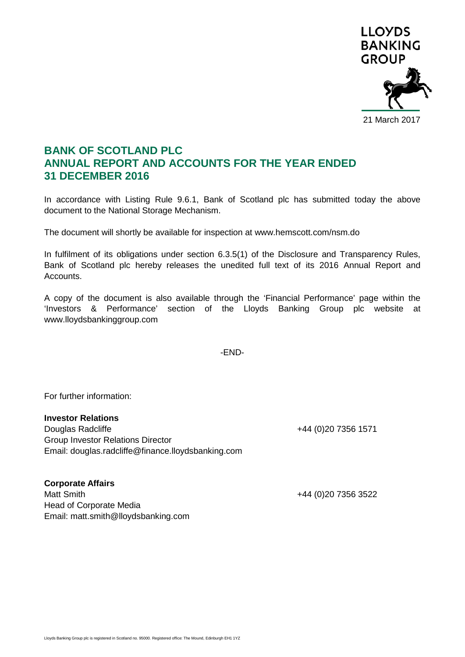

## **BANK OF SCOTLAND PLC ANNUAL REPORT AND ACCOUNTS FOR THE YEAR ENDED 31 DECEMBER 2016**

In accordance with Listing Rule 9.6.1, Bank of Scotland plc has submitted today the above document to the National Storage Mechanism.

The document will shortly be available for inspection at www.hemscott.com/nsm.do

In fulfilment of its obligations under section 6.3.5(1) of the Disclosure and Transparency Rules, Bank of Scotland plc hereby releases the unedited full text of its 2016 Annual Report and Accounts.

A copy of the document is also available through the 'Financial Performance' page within the 'Investors & Performance' section of the Lloyds Banking Group plc website at www.lloydsbankinggroup.com

-END-

For further information:

## **Investor Relations**

Douglas Radcliffe +44 (0)20 7356 1571 Group Investor Relations Director Email: douglas.radcliffe@finance.lloydsbanking.com

+44 (0)20 7356 3522

**Corporate Affairs** Head of Corporate Media Email: matt.smith@lloydsbanking.com